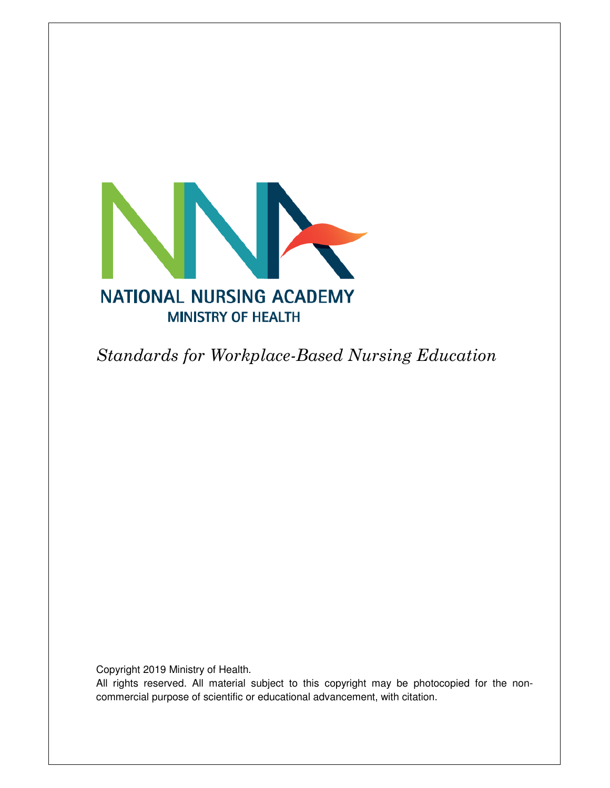

Standards for Workplace-Based Nursing Education

Copyright 2019 Ministry of Health.

All rights reserved. All material subject to this copyright may be photocopied for the noncommercial purpose of scientific or educational advancement, with citation.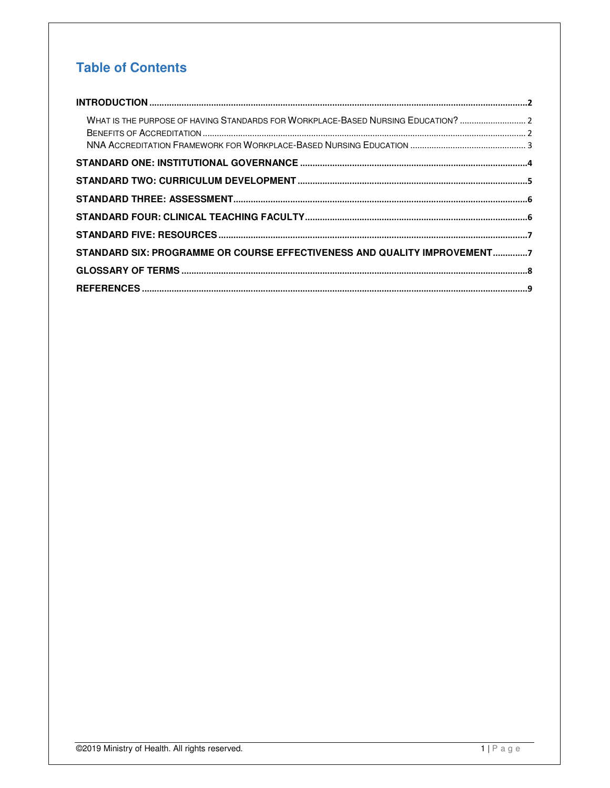### **Table of Contents**

| WHAT IS THE PURPOSE OF HAVING STANDARDS FOR WORKPLACE-BASED NURSING EDUCATION?  2 |  |
|-----------------------------------------------------------------------------------|--|
|                                                                                   |  |
|                                                                                   |  |
|                                                                                   |  |
|                                                                                   |  |
|                                                                                   |  |
|                                                                                   |  |
| STANDARD SIX: PROGRAMME OR COURSE EFFECTIVENESS AND QUALITY IMPROVEMENT7          |  |
|                                                                                   |  |
|                                                                                   |  |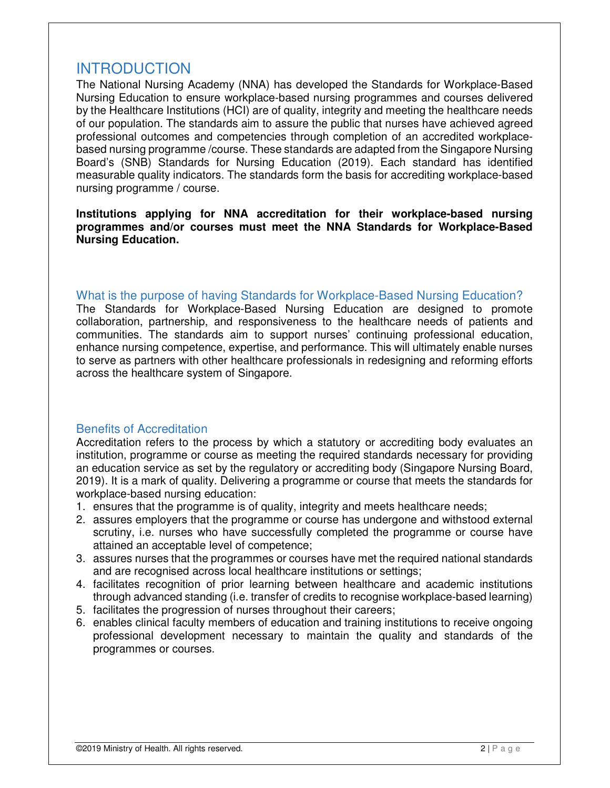### INTRODUCTION

The National Nursing Academy (NNA) has developed the Standards for Workplace-Based Nursing Education to ensure workplace-based nursing programmes and courses delivered by the Healthcare Institutions (HCI) are of quality, integrity and meeting the healthcare needs of our population. The standards aim to assure the public that nurses have achieved agreed professional outcomes and competencies through completion of an accredited workplacebased nursing programme /course. These standards are adapted from the Singapore Nursing Board's (SNB) Standards for Nursing Education (2019). Each standard has identified measurable quality indicators. The standards form the basis for accrediting workplace-based nursing programme / course.

**Institutions applying for NNA accreditation for their workplace-based nursing programmes and/or courses must meet the NNA Standards for Workplace-Based Nursing Education.** 

#### What is the purpose of having Standards for Workplace-Based Nursing Education?

The Standards for Workplace-Based Nursing Education are designed to promote collaboration, partnership, and responsiveness to the healthcare needs of patients and communities. The standards aim to support nurses' continuing professional education, enhance nursing competence, expertise, and performance. This will ultimately enable nurses to serve as partners with other healthcare professionals in redesigning and reforming efforts across the healthcare system of Singapore.

#### Benefits of Accreditation

Accreditation refers to the process by which a statutory or accrediting body evaluates an institution, programme or course as meeting the required standards necessary for providing an education service as set by the regulatory or accrediting body (Singapore Nursing Board, 2019). It is a mark of quality. Delivering a programme or course that meets the standards for workplace-based nursing education:

- 1. ensures that the programme is of quality, integrity and meets healthcare needs;
- 2. assures employers that the programme or course has undergone and withstood external scrutiny, i.e. nurses who have successfully completed the programme or course have attained an acceptable level of competence;
- 3. assures nurses that the programmes or courses have met the required national standards and are recognised across local healthcare institutions or settings;
- 4. facilitates recognition of prior learning between healthcare and academic institutions through advanced standing (i.e. transfer of credits to recognise workplace-based learning)
- 5. facilitates the progression of nurses throughout their careers;
- 6. enables clinical faculty members of education and training institutions to receive ongoing professional development necessary to maintain the quality and standards of the programmes or courses.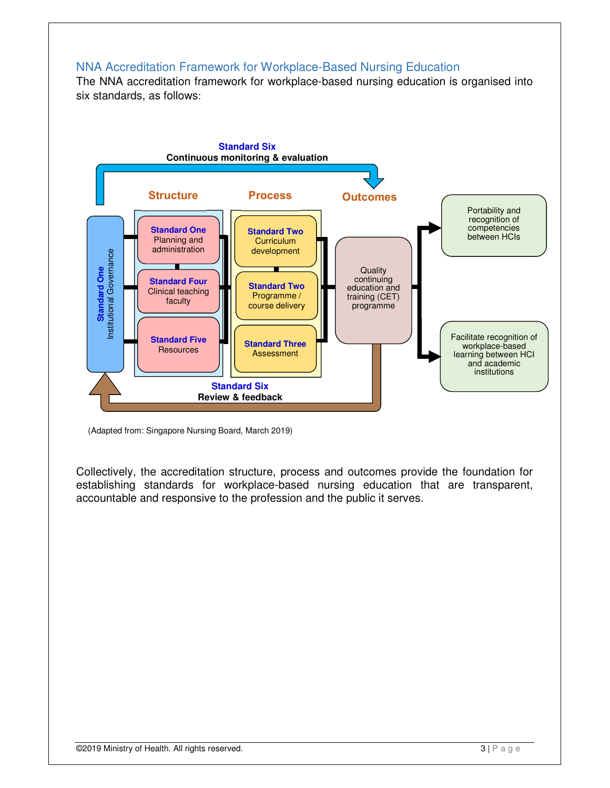#### NNA Accreditation Framework for Workplace-Based Nursing Education

The NNA accreditation framework for workplace-based nursing education is organised into six standards, as follows:



 <sup>(</sup>Adapted from: Singapore Nursing Board, March 2019)

Collectively, the accreditation structure, process and outcomes provide the foundation for establishing standards for workplace-based nursing education that are transparent, accountable and responsive to the profession and the public it serves.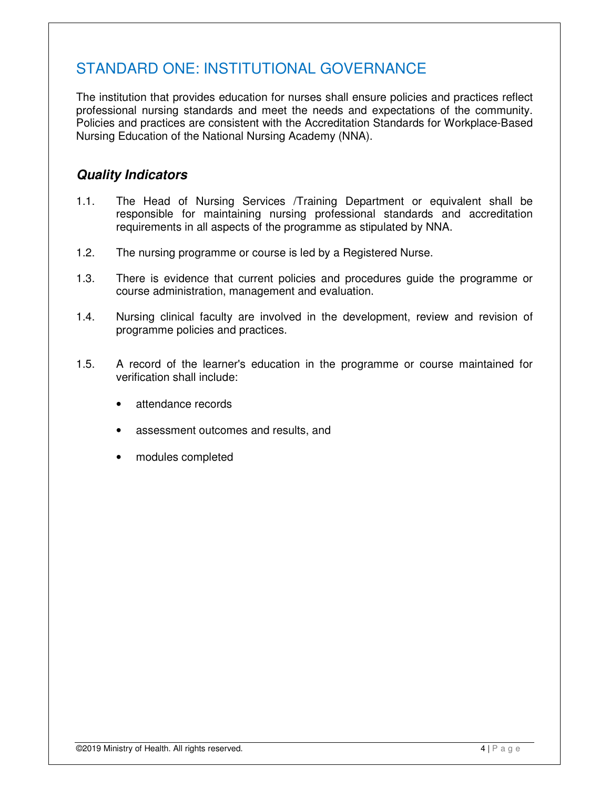## STANDARD ONE: INSTITUTIONAL GOVERNANCE

The institution that provides education for nurses shall ensure policies and practices reflect professional nursing standards and meet the needs and expectations of the community. Policies and practices are consistent with the Accreditation Standards for Workplace-Based Nursing Education of the National Nursing Academy (NNA).

- 1.1. The Head of Nursing Services /Training Department or equivalent shall be responsible for maintaining nursing professional standards and accreditation requirements in all aspects of the programme as stipulated by NNA.
- 1.2. The nursing programme or course is led by a Registered Nurse.
- 1.3. There is evidence that current policies and procedures guide the programme or course administration, management and evaluation.
- 1.4. Nursing clinical faculty are involved in the development, review and revision of programme policies and practices.
- 1.5. A record of the learner's education in the programme or course maintained for verification shall include:
	- attendance records
	- assessment outcomes and results, and
	- modules completed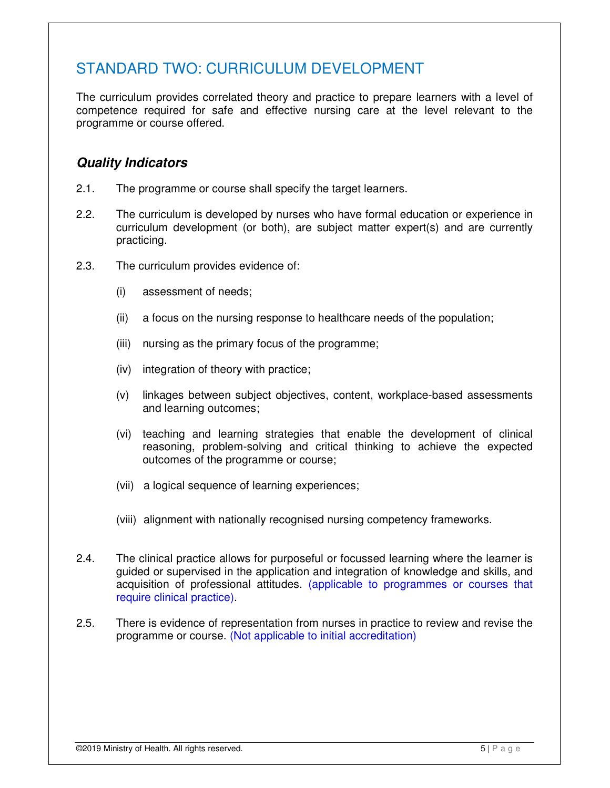### STANDARD TWO: CURRICULUM DEVELOPMENT

The curriculum provides correlated theory and practice to prepare learners with a level of competence required for safe and effective nursing care at the level relevant to the programme or course offered.

- 2.1. The programme or course shall specify the target learners.
- 2.2. The curriculum is developed by nurses who have formal education or experience in curriculum development (or both), are subject matter expert(s) and are currently practicing.
- 2.3. The curriculum provides evidence of:
	- (i) assessment of needs;
	- (ii) a focus on the nursing response to healthcare needs of the population;
	- (iii) nursing as the primary focus of the programme;
	- (iv) integration of theory with practice;
	- (v) linkages between subject objectives, content, workplace-based assessments and learning outcomes;
	- (vi) teaching and learning strategies that enable the development of clinical reasoning, problem-solving and critical thinking to achieve the expected outcomes of the programme or course;
	- (vii) a logical sequence of learning experiences;
	- (viii) alignment with nationally recognised nursing competency frameworks.
- 2.4. The clinical practice allows for purposeful or focussed learning where the learner is guided or supervised in the application and integration of knowledge and skills, and acquisition of professional attitudes. (applicable to programmes or courses that require clinical practice).
- 2.5. There is evidence of representation from nurses in practice to review and revise the programme or course. (Not applicable to initial accreditation)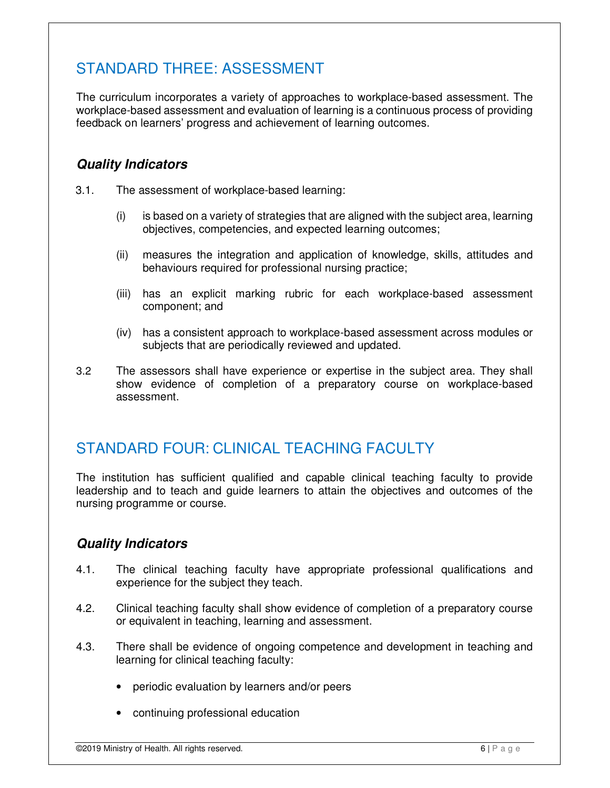## STANDARD THREE: ASSESSMENT

The curriculum incorporates a variety of approaches to workplace-based assessment. The workplace-based assessment and evaluation of learning is a continuous process of providing feedback on learners' progress and achievement of learning outcomes.

### **Quality Indicators**

- 3.1. The assessment of workplace-based learning:
	- (i) is based on a variety of strategies that are aligned with the subject area, learning objectives, competencies, and expected learning outcomes;
	- (ii) measures the integration and application of knowledge, skills, attitudes and behaviours required for professional nursing practice;
	- (iii) has an explicit marking rubric for each workplace-based assessment component; and
	- (iv) has a consistent approach to workplace-based assessment across modules or subjects that are periodically reviewed and updated.
- 3.2 The assessors shall have experience or expertise in the subject area. They shall show evidence of completion of a preparatory course on workplace-based assessment.

### STANDARD FOUR: CLINICAL TEACHING FACULTY

The institution has sufficient qualified and capable clinical teaching faculty to provide leadership and to teach and guide learners to attain the objectives and outcomes of the nursing programme or course.

- 4.1. The clinical teaching faculty have appropriate professional qualifications and experience for the subject they teach.
- 4.2. Clinical teaching faculty shall show evidence of completion of a preparatory course or equivalent in teaching, learning and assessment.
- 4.3. There shall be evidence of ongoing competence and development in teaching and learning for clinical teaching faculty:
	- periodic evaluation by learners and/or peers
	- continuing professional education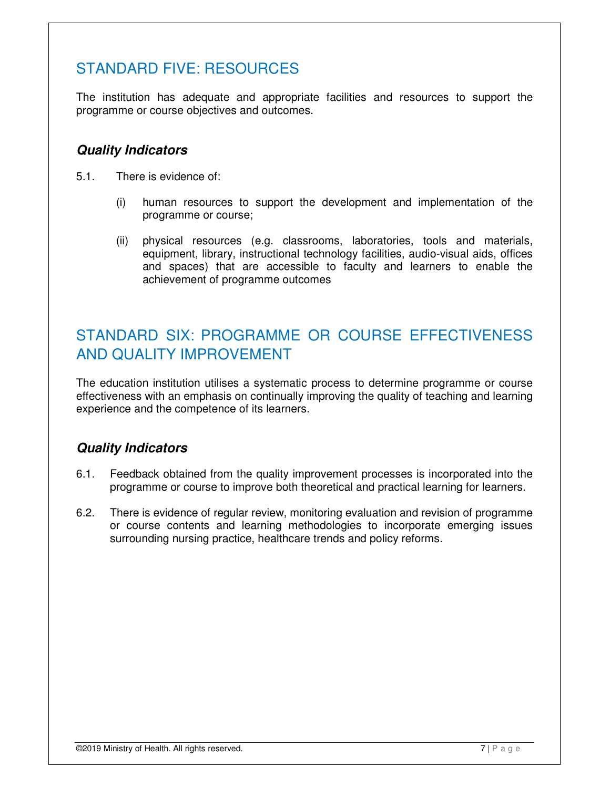## STANDARD FIVE: RESOURCES

The institution has adequate and appropriate facilities and resources to support the programme or course objectives and outcomes.

### **Quality Indicators**

- 5.1. There is evidence of:
	- (i) human resources to support the development and implementation of the programme or course;
	- (ii) physical resources (e.g. classrooms, laboratories, tools and materials, equipment, library, instructional technology facilities, audio-visual aids, offices and spaces) that are accessible to faculty and learners to enable the achievement of programme outcomes

## STANDARD SIX: PROGRAMME OR COURSE EFFECTIVENESS AND QUALITY IMPROVEMENT

The education institution utilises a systematic process to determine programme or course effectiveness with an emphasis on continually improving the quality of teaching and learning experience and the competence of its learners.

- 6.1. Feedback obtained from the quality improvement processes is incorporated into the programme or course to improve both theoretical and practical learning for learners.
- 6.2. There is evidence of regular review, monitoring evaluation and revision of programme or course contents and learning methodologies to incorporate emerging issues surrounding nursing practice, healthcare trends and policy reforms.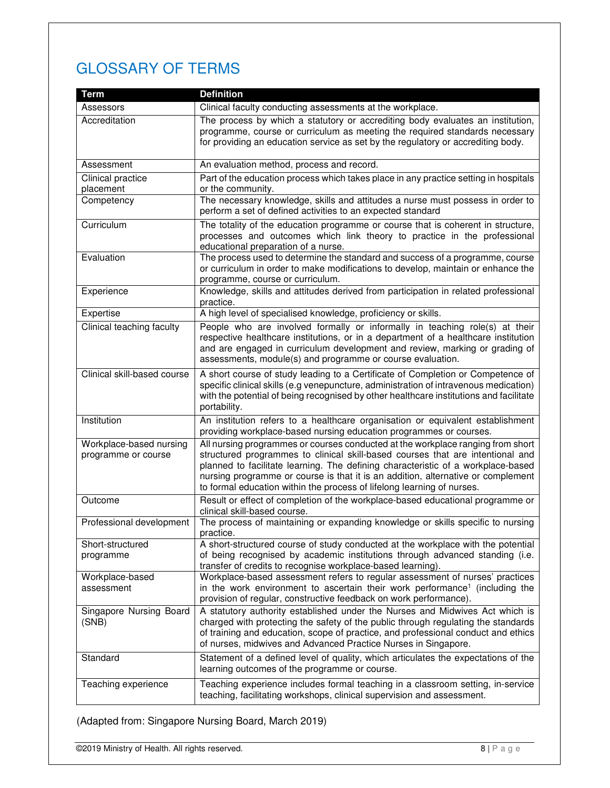# GLOSSARY OF TERMS

| Term                                           | <b>Definition</b>                                                                                                                                                                                                                                                                                                                                                                                                   |
|------------------------------------------------|---------------------------------------------------------------------------------------------------------------------------------------------------------------------------------------------------------------------------------------------------------------------------------------------------------------------------------------------------------------------------------------------------------------------|
| Assessors                                      | Clinical faculty conducting assessments at the workplace.                                                                                                                                                                                                                                                                                                                                                           |
| Accreditation                                  | The process by which a statutory or accrediting body evaluates an institution,<br>programme, course or curriculum as meeting the required standards necessary<br>for providing an education service as set by the regulatory or accrediting body.                                                                                                                                                                   |
| Assessment                                     | An evaluation method, process and record.                                                                                                                                                                                                                                                                                                                                                                           |
| Clinical practice<br>placement                 | Part of the education process which takes place in any practice setting in hospitals<br>or the community.                                                                                                                                                                                                                                                                                                           |
| Competency                                     | The necessary knowledge, skills and attitudes a nurse must possess in order to<br>perform a set of defined activities to an expected standard                                                                                                                                                                                                                                                                       |
| Curriculum                                     | The totality of the education programme or course that is coherent in structure,<br>processes and outcomes which link theory to practice in the professional<br>educational preparation of a nurse.                                                                                                                                                                                                                 |
| Evaluation                                     | The process used to determine the standard and success of a programme, course<br>or curriculum in order to make modifications to develop, maintain or enhance the<br>programme, course or curriculum.                                                                                                                                                                                                               |
| Experience                                     | Knowledge, skills and attitudes derived from participation in related professional<br>practice.                                                                                                                                                                                                                                                                                                                     |
| Expertise                                      | A high level of specialised knowledge, proficiency or skills.                                                                                                                                                                                                                                                                                                                                                       |
| Clinical teaching faculty                      | People who are involved formally or informally in teaching role(s) at their<br>respective healthcare institutions, or in a department of a healthcare institution<br>and are engaged in curriculum development and review, marking or grading of<br>assessments, module(s) and programme or course evaluation.                                                                                                      |
| Clinical skill-based course                    | A short course of study leading to a Certificate of Completion or Competence of<br>specific clinical skills (e.g venepuncture, administration of intravenous medication)<br>with the potential of being recognised by other healthcare institutions and facilitate<br>portability.                                                                                                                                  |
| Institution                                    | An institution refers to a healthcare organisation or equivalent establishment<br>providing workplace-based nursing education programmes or courses.                                                                                                                                                                                                                                                                |
| Workplace-based nursing<br>programme or course | All nursing programmes or courses conducted at the workplace ranging from short<br>structured programmes to clinical skill-based courses that are intentional and<br>planned to facilitate learning. The defining characteristic of a workplace-based<br>nursing programme or course is that it is an addition, alternative or complement<br>to formal education within the process of lifelong learning of nurses. |
| Outcome                                        | Result or effect of completion of the workplace-based educational programme or<br>clinical skill-based course.                                                                                                                                                                                                                                                                                                      |
| Professional development                       | The process of maintaining or expanding knowledge or skills specific to nursing<br>practice.                                                                                                                                                                                                                                                                                                                        |
| Short-structured<br>programme                  | A short-structured course of study conducted at the workplace with the potential<br>of being recognised by academic institutions through advanced standing (i.e.<br>transfer of credits to recognise workplace-based learning).                                                                                                                                                                                     |
| Workplace-based<br>assessment                  | Workplace-based assessment refers to regular assessment of nurses' practices<br>in the work environment to ascertain their work performance <sup>1</sup> (including the<br>provision of regular, constructive feedback on work performance).                                                                                                                                                                        |
| Singapore Nursing Board<br>(SNB)               | A statutory authority established under the Nurses and Midwives Act which is<br>charged with protecting the safety of the public through regulating the standards<br>of training and education, scope of practice, and professional conduct and ethics<br>of nurses, midwives and Advanced Practice Nurses in Singapore.                                                                                            |
| Standard                                       | Statement of a defined level of quality, which articulates the expectations of the<br>learning outcomes of the programme or course.                                                                                                                                                                                                                                                                                 |
| Teaching experience                            | Teaching experience includes formal teaching in a classroom setting, in-service<br>teaching, facilitating workshops, clinical supervision and assessment.                                                                                                                                                                                                                                                           |

(Adapted from: Singapore Nursing Board, March 2019)

**C2019 Ministry of Health. All rights reserved.** 8 | P a g e